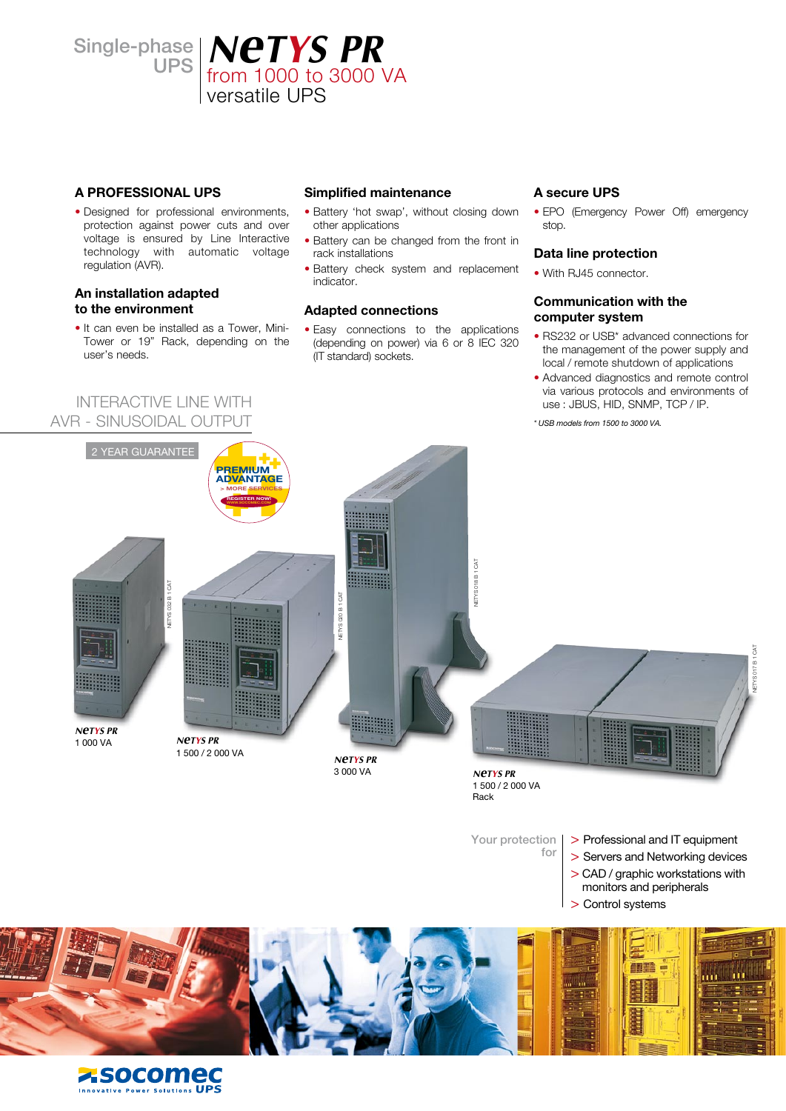Single-phase

# hase | **NCTYS PR**<br>UPS | from 1000 to 3000 VA versatile UPS

### **A PROFESSIONAL UPS**

• Designed for professional environments, protection against power cuts and over voltage is ensured by Line Interactive technology with automatic voltage regulation (AVR).

### **An installation adapted to the environment**

• It can even be installed as a Tower, Mini-Tower or 19" Rack, depending on the user's needs.

INTERACTIVE LINE WITH AVR - SINUSOIDAL OUTPUT

### **Simplified maintenance**

- Battery 'hot swap', without closing down other applications
- Battery can be changed from the front in rack installations
- Battery check system and replacement indicator.

### **Adapted connections**

• Easy connections to the applications (depending on power) via 6 or 8 IEC 320 (IT standard) sockets.

### **A secure UPS**

• EPO (Emergency Power Off) emergency stop.

### **Data line protection**

• With RJ45 connector.

### **Communication with the computer system**

- RS232 or USB\* advanced connections for the management of the power supply and local / remote shutdown of applications
- Advanced diagnostics and remote control via various protocols and environments of use : JBUS, HID, SNMP, TCP / IP.

*\* USB models from 1500 to 3000 VA.*



![](_page_0_Picture_21.jpeg)